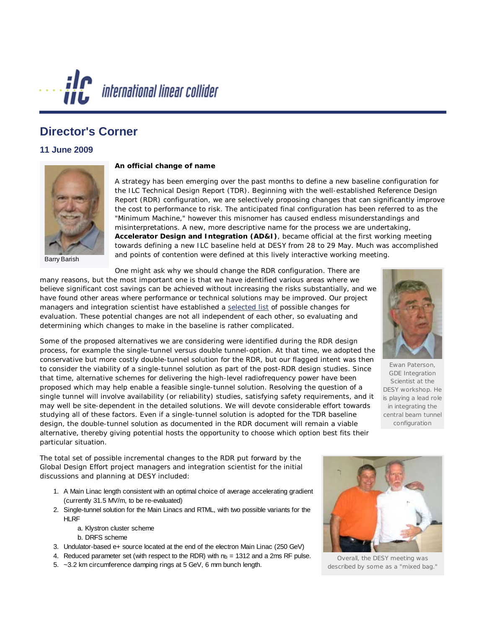

## **Director's Corner**

## **11 June 2009**



Barry Barish

## **An official change of name**

A strategy has been emerging over the past months to define a new baseline configuration for the ILC Technical Design Report (TDR). Beginning with the well-established Reference Design Report (RDR) configuration, we are selectively proposing changes that can significantly improve the cost to performance to risk. The anticipated final configuration has been referred to as the "Minimum Machine," however this misnomer has caused endless misunderstandings and misinterpretations. A new, more descriptive name for the process we are undertaking, **Accelerator Design and Integration (AD&I)**, became official at the first working meeting towards defining a new ILC baseline held at DESY from 28 to 29 May. Much was accomplished and points of contention were defined at this lively interactive working meeting.

One might ask why we should change the RDR configuration. There are

many reasons, but the most important one is that we have identified various areas where we believe significant cost savings can be achieved without increasing the risks substantially, and we have found other areas where performance or technical solutions may be improved. Our project managers and integration scientist have established a [selected list](http://ilc-edmsdirect.desy.de/ilc-edmsdirect/file.jsp?edmsid=D0000000*865085) of possible changes for evaluation. These potential changes are not all independent of each other, so evaluating and determining which changes to make in the baseline is rather complicated.

Some of the proposed alternatives we are considering were identified during the RDR design process, for example the single-tunnel versus double tunnel-option. At that time, we adopted the conservative but more costly double-tunnel solution for the RDR, but our flagged intent was then to consider the viability of a single-tunnel solution as part of the post-RDR design studies. Since that time, alternative schemes for delivering the high-level radiofrequency power have been proposed which may help enable a feasible single-tunnel solution. Resolving the question of a single tunnel will involve availability (or reliability) studies, satisfying safety requirements, and it may well be site-dependent in the detailed solutions. We will devote considerable effort towards studying all of these factors. Even if a single-tunnel solution is adopted for the TDR baseline design, the double-tunnel solution as documented in the RDR document will remain a viable alternative, thereby giving potential hosts the opportunity to choose which option best fits their particular situation.



Ewan Paterson, GDE Integration Scientist at the DESY workshop. He is playing a lead role in integrating the central beam tunnel configuration

The total set of possible incremental changes to the RDR put forward by the Global Design Effort project managers and integration scientist for the initial discussions and planning at DESY included:

- 1. A Main Linac length consistent with an optimal choice of average accelerating gradient (currently 31.5 MV/m, to be re-evaluated)
- 2. Single-tunnel solution for the Main Linacs and RTML, with two possible variants for the HI<sub>RF</sub>
	- a. Klystron cluster scheme
	- b. DRFS scheme
- 3. Undulator-based e+ source located at the end of the electron Main Linac (250 GeV)
- 4. Reduced parameter set (with respect to the RDR) with  $n_b = 1312$  and a 2ms RF pulse.
- 5. ~3.2 km circumference damping rings at 5 GeV, 6 mm bunch length.



Overall, the DESY meeting was described by some as a "mixed bag."